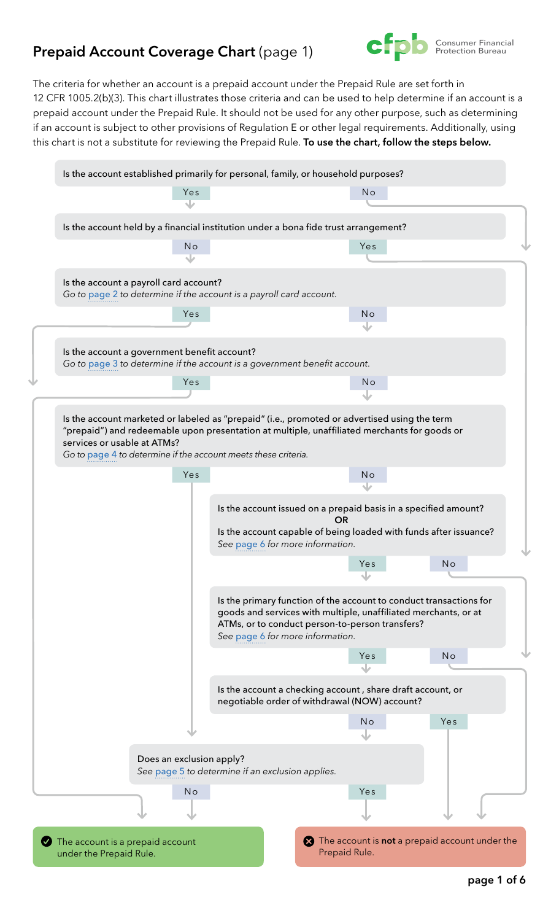### <span id="page-0-0"></span>**Prepaid Account Coverage Chart** (page 1)



The criteria for whether an account is a prepaid account under the Prepaid Rule are set forth in 12 CFR 1005.2(b)(3). This chart illustrates those criteria and can be used to help determine if an account is a prepaid account under the Prepaid Rule. It should not be used for any other purpose, such as determining if an account is subject to other provisions of Regulation E or other legal requirements. Additionally, using this chart is not a substitute for reviewing the Prepaid Rule. **To use the chart, follow the steps below.**

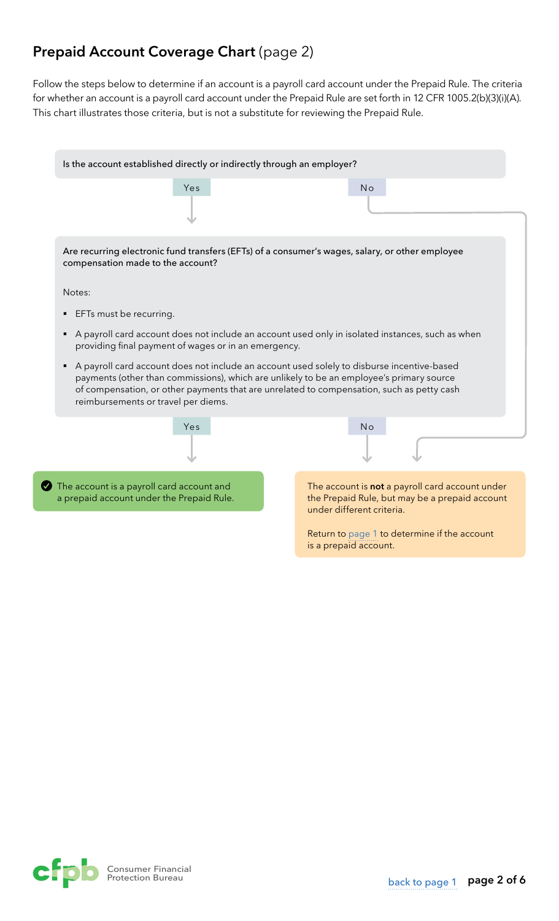## <span id="page-1-0"></span>**Prepaid Account Coverage Chart** (page 2)

Follow the steps below to determine if an account is a payroll card account under the Prepaid Rule. The criteria for whether an account is a payroll card account under the Prepaid Rule are set forth in 12 CFR 1005.2(b)(3)(i)(A). This chart illustrates those criteria, but is not a substitute for reviewing the Prepaid Rule.

| Is the account established directly or indirectly through an employer?                                                                                                                                                                                                                                                     |                                                                                                                                |
|----------------------------------------------------------------------------------------------------------------------------------------------------------------------------------------------------------------------------------------------------------------------------------------------------------------------------|--------------------------------------------------------------------------------------------------------------------------------|
| Yes                                                                                                                                                                                                                                                                                                                        | <b>No</b>                                                                                                                      |
| Are recurring electronic fund transfers (EFTs) of a consumer's wages, salary, or other employee<br>compensation made to the account?                                                                                                                                                                                       |                                                                                                                                |
| Notes:                                                                                                                                                                                                                                                                                                                     |                                                                                                                                |
| EFTs must be recurring.                                                                                                                                                                                                                                                                                                    |                                                                                                                                |
| A payroll card account does not include an account used only in isolated instances, such as when<br>providing final payment of wages or in an emergency.                                                                                                                                                                   |                                                                                                                                |
| A payroll card account does not include an account used solely to disburse incentive-based<br>payments (other than commissions), which are unlikely to be an employee's primary source<br>of compensation, or other payments that are unrelated to compensation, such as petty cash<br>reimbursements or travel per diems. |                                                                                                                                |
| Yes                                                                                                                                                                                                                                                                                                                        | <b>No</b>                                                                                                                      |
| The account is a payroll card account and<br>a prepaid account under the Prepaid Rule.                                                                                                                                                                                                                                     | The account is not a payroll card account under<br>the Prepaid Rule, but may be a prepaid account<br>under different criteria. |
|                                                                                                                                                                                                                                                                                                                            | Return to page 1 to determine if the account<br>is a prepaid account.                                                          |

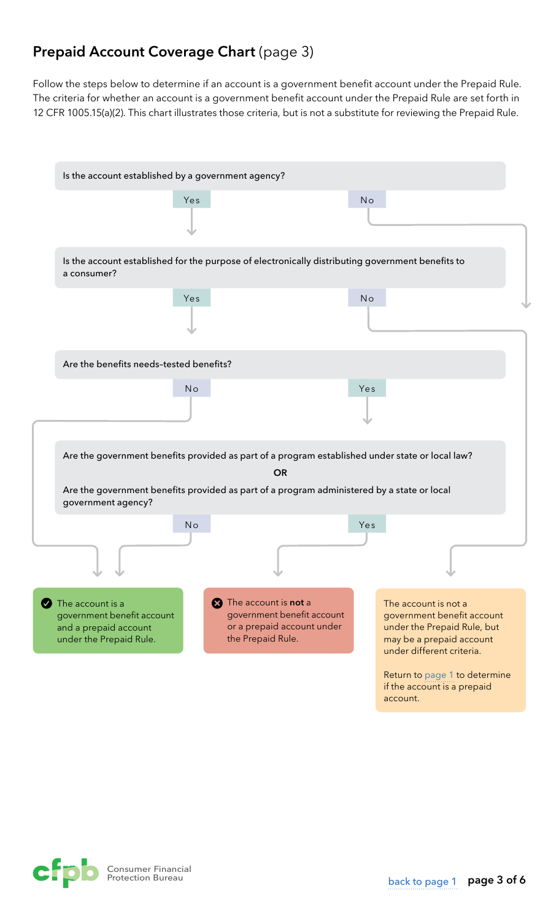## <span id="page-2-0"></span>**Prepaid Account Coverage Chart (page 3)**

Follow the steps below to determine if an account is a government benefit account under the Prepaid Rule. The criteria for whether an account is a government benefit account under the Prepaid Rule are set forth in 12 CFR 1005.15(a)(2). This chart illustrates those criteria, but is not a substitute for reviewing the Prepaid Rule.



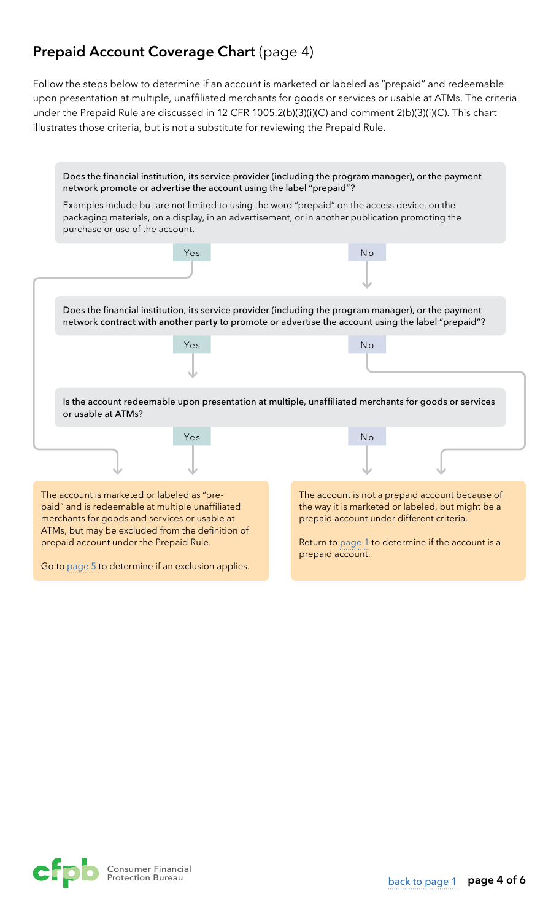## <span id="page-3-0"></span>**Prepaid Account Coverage Chart (page 4)**

Follow the steps below to determine if an account is marketed or labeled as "prepaid" and redeemable upon presentation at multiple, unaffiliated merchants for goods or services or usable at ATMs. The criteria under the Prepaid Rule are discussed in 12 CFR 1005.2(b)(3)(i)(C) and comment 2(b)(3)(i)(C). This chart illustrates those criteria, but is not a substitute for reviewing the Prepaid Rule.



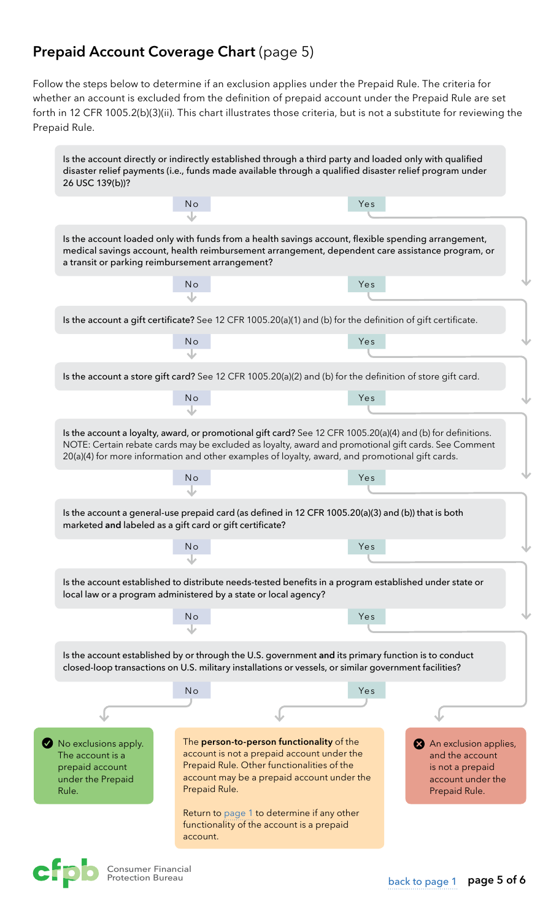## <span id="page-4-0"></span>**Prepaid Account Coverage Chart** (page 5)

Follow the steps below to determine if an exclusion applies under the Prepaid Rule. The criteria for whether an account is excluded from the definition of prepaid account under the Prepaid Rule are set forth in 12 CFR 1005.2(b)(3)(ii). This chart illustrates those criteria, but is not a substitute for reviewing the Prepaid Rule.